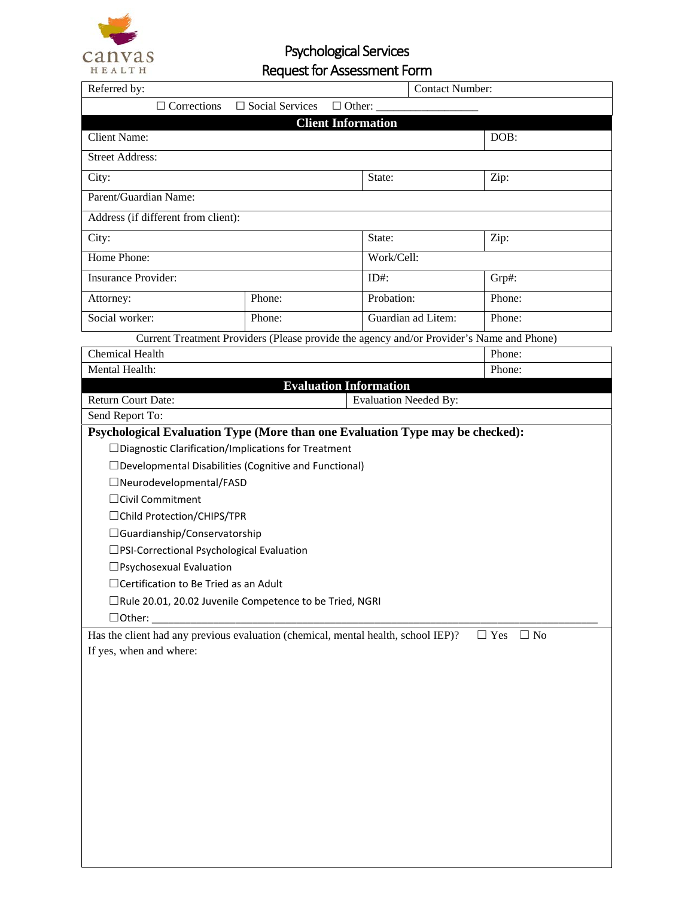

Psychological Services Request for Assessment Form

| Referred by:<br><b>Contact Number:</b>                                                                       |                           |                              |        |  |
|--------------------------------------------------------------------------------------------------------------|---------------------------|------------------------------|--------|--|
| $\Box$ Corrections<br>$\Box$ Social Services<br>$\Box$ Other:                                                |                           |                              |        |  |
|                                                                                                              | <b>Client Information</b> |                              |        |  |
| <b>Client Name:</b>                                                                                          |                           |                              | DOB:   |  |
| <b>Street Address:</b>                                                                                       |                           |                              |        |  |
| City:                                                                                                        |                           | State:                       | Zip:   |  |
| Parent/Guardian Name:                                                                                        |                           |                              |        |  |
| Address (if different from client):                                                                          |                           |                              |        |  |
| City:                                                                                                        |                           | State:                       | Zip:   |  |
| Home Phone:                                                                                                  |                           | Work/Cell:                   |        |  |
| <b>Insurance Provider:</b>                                                                                   |                           | $ID#$ :                      | Grp#:  |  |
| Attorney:                                                                                                    | Phone:                    | Probation:                   | Phone: |  |
| Social worker:                                                                                               | Phone:                    | Guardian ad Litem:           | Phone: |  |
| Current Treatment Providers (Please provide the agency and/or Provider's Name and Phone)                     |                           |                              |        |  |
| <b>Chemical Health</b>                                                                                       |                           |                              | Phone: |  |
| Mental Health:                                                                                               |                           |                              | Phone: |  |
| <b>Evaluation Information</b>                                                                                |                           |                              |        |  |
| <b>Return Court Date:</b>                                                                                    |                           | <b>Evaluation Needed By:</b> |        |  |
| Send Report To:                                                                                              |                           |                              |        |  |
| Psychological Evaluation Type (More than one Evaluation Type may be checked):                                |                           |                              |        |  |
| □ Diagnostic Clarification/Implications for Treatment                                                        |                           |                              |        |  |
| □ Developmental Disabilities (Cognitive and Functional)                                                      |                           |                              |        |  |
| □Neurodevelopmental/FASD                                                                                     |                           |                              |        |  |
| □ Civil Commitment                                                                                           |                           |                              |        |  |
| □ Child Protection/CHIPS/TPR                                                                                 |                           |                              |        |  |
| □ Guardianship/Conservatorship                                                                               |                           |                              |        |  |
| □PSI-Correctional Psychological Evaluation                                                                   |                           |                              |        |  |
| □ Psychosexual Evaluation                                                                                    |                           |                              |        |  |
| $\Box$ Certification to Be Tried as an Adult                                                                 |                           |                              |        |  |
| □Rule 20.01, 20.02 Juvenile Competence to be Tried, NGRI                                                     |                           |                              |        |  |
| $\Box$ Other: $\_\_$                                                                                         |                           |                              |        |  |
| Has the client had any previous evaluation (chemical, mental health, school IEP)?<br>$\Box$ No<br>$\Box$ Yes |                           |                              |        |  |
| If yes, when and where:                                                                                      |                           |                              |        |  |
|                                                                                                              |                           |                              |        |  |
|                                                                                                              |                           |                              |        |  |
|                                                                                                              |                           |                              |        |  |
|                                                                                                              |                           |                              |        |  |
|                                                                                                              |                           |                              |        |  |
|                                                                                                              |                           |                              |        |  |
|                                                                                                              |                           |                              |        |  |
|                                                                                                              |                           |                              |        |  |
|                                                                                                              |                           |                              |        |  |
|                                                                                                              |                           |                              |        |  |